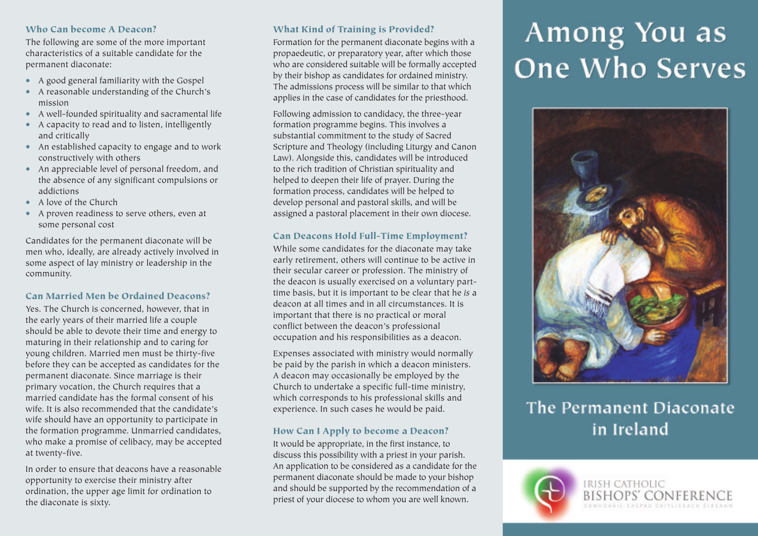#### **Who Can become A Deacon?**

The following are some of the more important characteristics of a suitable candidate for the permanent diaconate:

- A good general familiarity with the Gospel
- A reasonable understanding of the Church's mission
- A well-founded spirituality and sacramental life
- A capacity to read and to listen, intelligently and critically
- An established capacity to engage and to work constructively with others
- An appreciable level of personal freedom, and the absence of any significant compulsions or addictions
- A love of the Church
- A proven readiness to serve others, even at some personal cost

Candidates for the permanent diaconate will be men who, ideally, are already actively involved in some aspect of lay ministry or leadership in the community.

#### **Can Married Men be Ordained Deacons?**

Yes. The Church is concerned, however, that in the early years of their married life a couple should be able to devote their time and energy to maturing in their relationship and to caring for young children. Married men must be thirty-five before they can be accepted as candidates for the permanent diaconate. Since marriage is their primary vocation, the Church requires that a married candidate has the formal consent of his wife. It is also recommended that the candidate's wife should have an opportunity to participate in the formation programme. Unmarried candidates, who make a promise of celibacy, may be accepted at twenty-five.

In order to ensure that deacons have a reasonable opportunity to exercise their ministry after ordination, the upper age limit for ordination to the diaconate is sixty.

#### **What Kind of Training is Provided?**

Formation for the permanent diaconate begins with a propaedeutic, or preparatory year, after which those who are considered suitable will be formally accepted by their bishop as candidates for ordained ministry. The admissions process will be similar to that which applies in the case of candidates for the priesthood.

Following admission to candidacy, the three-year formation programme begins. This involves a substantial commitment to the study of Sacred Scripture and Theology (including Liturgy and Canon Law). Alongside this, candidates will be introduced to the rich tradition of Christian spirituality and helped to deepen their life of prayer. During the formation process, candidates will be helped to develop personal and pastoral skills, and will be assigned a pastoral placement in their own diocese.

#### **Can Deacons Hold Full-Time Employment?**

While some candidates for the diaconate may take early retirement, others will continue to be active in their secular career or profession. The ministry of the deacon is usually exercised on a voluntary parttime basis, but it is important to be clear that he *is* a deacon at all times and in all circumstances. It is important that there is no practical or moral conflict between the deacon's professional occupation and his responsibilities as a deacon.

Expenses associated with ministry would normally be paid by the parish in which a deacon ministers. A deacon may occasionally be employed by the Church to undertake a specific full-time ministry, which corresponds to his professional skills and experience. In such cases he would be paid.

#### **How Can I Apply to become a Deacon?**

It would be appropriate, in the first instance, to discuss this possibility with a priest in your parish. An application to be considered as a candidate for the permanent diaconate should be made to your bishop and should be supported by the recommendation of a priest of your diocese to whom you are well known.

# Among You as **One Who Serves**



### The Permanent Diaconate in Ireland